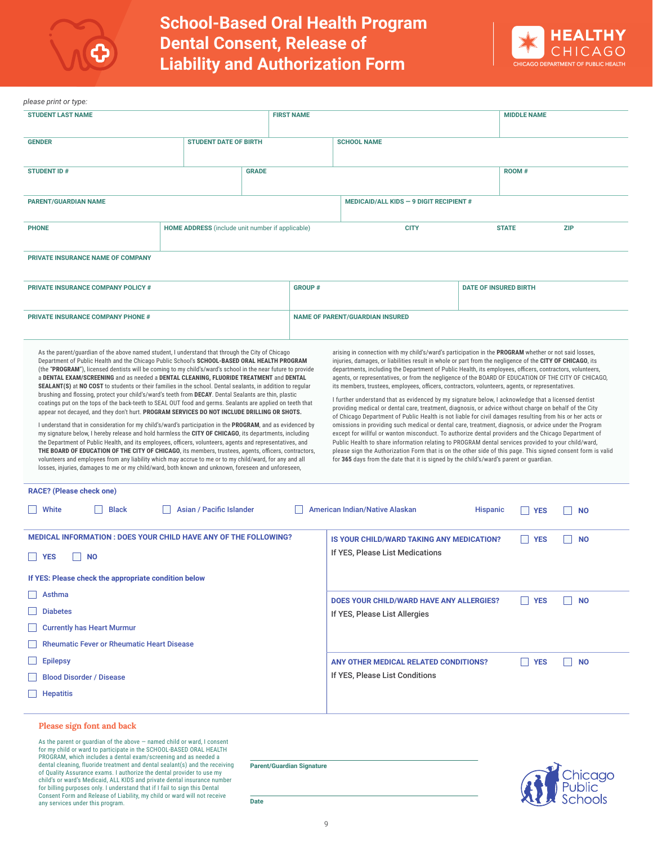



| please print or type:                                                                                                                                                                                                                                                                                                                                                                                                                                                                                                                                                                                                                                                                                                                                                                                                                                                                                                                                                                                                                                                                                                                                                                                                                                                                                                                                                                                                  |                                                         |                              |                   |                                                                                                                                                                                                                                                                                                                                                                                                                                                                                                                                                                                                                                                                                                                                                                                                                                                                                                                                                                                                                                                                                                                                                                                                                                                                                                   |                                                                           |                              |                    |                           |  |
|------------------------------------------------------------------------------------------------------------------------------------------------------------------------------------------------------------------------------------------------------------------------------------------------------------------------------------------------------------------------------------------------------------------------------------------------------------------------------------------------------------------------------------------------------------------------------------------------------------------------------------------------------------------------------------------------------------------------------------------------------------------------------------------------------------------------------------------------------------------------------------------------------------------------------------------------------------------------------------------------------------------------------------------------------------------------------------------------------------------------------------------------------------------------------------------------------------------------------------------------------------------------------------------------------------------------------------------------------------------------------------------------------------------------|---------------------------------------------------------|------------------------------|-------------------|---------------------------------------------------------------------------------------------------------------------------------------------------------------------------------------------------------------------------------------------------------------------------------------------------------------------------------------------------------------------------------------------------------------------------------------------------------------------------------------------------------------------------------------------------------------------------------------------------------------------------------------------------------------------------------------------------------------------------------------------------------------------------------------------------------------------------------------------------------------------------------------------------------------------------------------------------------------------------------------------------------------------------------------------------------------------------------------------------------------------------------------------------------------------------------------------------------------------------------------------------------------------------------------------------|---------------------------------------------------------------------------|------------------------------|--------------------|---------------------------|--|
| <b>STUDENT LAST NAME</b>                                                                                                                                                                                                                                                                                                                                                                                                                                                                                                                                                                                                                                                                                                                                                                                                                                                                                                                                                                                                                                                                                                                                                                                                                                                                                                                                                                                               |                                                         |                              | <b>FIRST NAME</b> |                                                                                                                                                                                                                                                                                                                                                                                                                                                                                                                                                                                                                                                                                                                                                                                                                                                                                                                                                                                                                                                                                                                                                                                                                                                                                                   |                                                                           |                              | <b>MIDDLE NAME</b> |                           |  |
| <b>GENDER</b>                                                                                                                                                                                                                                                                                                                                                                                                                                                                                                                                                                                                                                                                                                                                                                                                                                                                                                                                                                                                                                                                                                                                                                                                                                                                                                                                                                                                          |                                                         | <b>STUDENT DATE OF BIRTH</b> |                   | <b>SCHOOL NAME</b>                                                                                                                                                                                                                                                                                                                                                                                                                                                                                                                                                                                                                                                                                                                                                                                                                                                                                                                                                                                                                                                                                                                                                                                                                                                                                |                                                                           |                              |                    |                           |  |
| <b>STUDENT ID#</b>                                                                                                                                                                                                                                                                                                                                                                                                                                                                                                                                                                                                                                                                                                                                                                                                                                                                                                                                                                                                                                                                                                                                                                                                                                                                                                                                                                                                     | <b>GRADE</b>                                            |                              |                   |                                                                                                                                                                                                                                                                                                                                                                                                                                                                                                                                                                                                                                                                                                                                                                                                                                                                                                                                                                                                                                                                                                                                                                                                                                                                                                   |                                                                           |                              | <b>ROOM#</b>       |                           |  |
| <b>PARENT/GUARDIAN NAME</b>                                                                                                                                                                                                                                                                                                                                                                                                                                                                                                                                                                                                                                                                                                                                                                                                                                                                                                                                                                                                                                                                                                                                                                                                                                                                                                                                                                                            |                                                         |                              |                   |                                                                                                                                                                                                                                                                                                                                                                                                                                                                                                                                                                                                                                                                                                                                                                                                                                                                                                                                                                                                                                                                                                                                                                                                                                                                                                   | MEDICAID/ALL KIDS - 9 DIGIT RECIPIENT $#$                                 |                              |                    |                           |  |
| <b>PHONE</b>                                                                                                                                                                                                                                                                                                                                                                                                                                                                                                                                                                                                                                                                                                                                                                                                                                                                                                                                                                                                                                                                                                                                                                                                                                                                                                                                                                                                           | <b>HOME ADDRESS</b> (include unit number if applicable) |                              |                   |                                                                                                                                                                                                                                                                                                                                                                                                                                                                                                                                                                                                                                                                                                                                                                                                                                                                                                                                                                                                                                                                                                                                                                                                                                                                                                   | <b>CITY</b>                                                               | <b>STATE</b><br><b>ZIP</b>   |                    |                           |  |
| PRIVATE INSURANCE NAME OF COMPANY                                                                                                                                                                                                                                                                                                                                                                                                                                                                                                                                                                                                                                                                                                                                                                                                                                                                                                                                                                                                                                                                                                                                                                                                                                                                                                                                                                                      |                                                         |                              |                   |                                                                                                                                                                                                                                                                                                                                                                                                                                                                                                                                                                                                                                                                                                                                                                                                                                                                                                                                                                                                                                                                                                                                                                                                                                                                                                   |                                                                           |                              |                    |                           |  |
| <b>PRIVATE INSURANCE COMPANY POLICY #</b>                                                                                                                                                                                                                                                                                                                                                                                                                                                                                                                                                                                                                                                                                                                                                                                                                                                                                                                                                                                                                                                                                                                                                                                                                                                                                                                                                                              |                                                         |                              | <b>GROUP#</b>     |                                                                                                                                                                                                                                                                                                                                                                                                                                                                                                                                                                                                                                                                                                                                                                                                                                                                                                                                                                                                                                                                                                                                                                                                                                                                                                   |                                                                           | <b>DATE OF INSURED BIRTH</b> |                    |                           |  |
| <b>PRIVATE INSURANCE COMPANY PHONE #</b>                                                                                                                                                                                                                                                                                                                                                                                                                                                                                                                                                                                                                                                                                                                                                                                                                                                                                                                                                                                                                                                                                                                                                                                                                                                                                                                                                                               |                                                         |                              |                   | <b>NAME OF PARENT/GUARDIAN INSURED</b>                                                                                                                                                                                                                                                                                                                                                                                                                                                                                                                                                                                                                                                                                                                                                                                                                                                                                                                                                                                                                                                                                                                                                                                                                                                            |                                                                           |                              |                    |                           |  |
| Department of Public Health and the Chicago Public School's SCHOOL-BASED ORAL HEALTH PROGRAM<br>(the "PROGRAM"), licensed dentists will be coming to my child's/ward's school in the near future to provide<br>a DENTAL EXAM/SCREENING and as needed a DENTAL CLEANING, FLUORIDE TREATMENT and DENTAL<br><b>SEALANT(S)</b> at NO COST to students or their families in the school. Dental sealants, in addition to regular<br>brushing and flossing, protect your child's/ward's teeth from DECAY. Dental Sealants are thin, plastic<br>coatings put on the tops of the back-teeth to SEAL OUT food and germs. Sealants are applied on teeth that<br>appear not decayed, and they don't hurt. PROGRAM SERVICES DO NOT INCLUDE DRILLING OR SHOTS.<br>I understand that in consideration for my child's/ward's participation in the <b>PROGRAM</b> , and as evidenced by<br>my signature below, I hereby release and hold harmless the CITY OF CHICAGO, its departments, including<br>the Department of Public Health, and its employees, officers, volunteers, agents and representatives, and<br>THE BOARD OF EDUCATION OF THE CITY OF CHICAGO, its members, trustees, agents, officers, contractors,<br>volunteers and employees from any liability which may accrue to me or to my child/ward, for any and all<br>losses, injuries, damages to me or my child/ward, both known and unknown, foreseen and unforeseen, |                                                         |                              |                   | injuries, damages, or liabilities result in whole or part from the negligence of the CITY OF CHICAGO, its<br>departments, including the Department of Public Health, its employees, officers, contractors, volunteers,<br>agents, or representatives, or from the negligence of the BOARD OF EDUCATION OF THE CITY OF CHICAGO,<br>its members, trustees, employees, officers, contractors, volunteers, agents, or representatives.<br>I further understand that as evidenced by my signature below, I acknowledge that a licensed dentist<br>providing medical or dental care, treatment, diagnosis, or advice without charge on behalf of the City<br>of Chicago Department of Public Health is not liable for civil damages resulting from his or her acts or<br>omissions in providing such medical or dental care, treatment, diagnosis, or advice under the Program<br>except for willful or wanton misconduct. To authorize dental providers and the Chicago Department of<br>Public Health to share information relating to PROGRAM dental services provided to your child/ward,<br>please sign the Authorization Form that is on the other side of this page. This signed consent form is valid<br>for 365 days from the date that it is signed by the child's/ward's parent or guardian. |                                                                           |                              |                    |                           |  |
| <b>RACE?</b> (Please check one)<br>White<br><b>Black</b>                                                                                                                                                                                                                                                                                                                                                                                                                                                                                                                                                                                                                                                                                                                                                                                                                                                                                                                                                                                                                                                                                                                                                                                                                                                                                                                                                               | Asian / Pacific Islander                                |                              |                   |                                                                                                                                                                                                                                                                                                                                                                                                                                                                                                                                                                                                                                                                                                                                                                                                                                                                                                                                                                                                                                                                                                                                                                                                                                                                                                   | American Indian/Native Alaskan                                            | <b>Hispanic</b>              | <b>YES</b>         | <b>NO</b>                 |  |
| <b>MEDICAL INFORMATION: DOES YOUR CHILD HAVE ANY OF THE FOLLOWING?</b><br><b>YES</b><br><b>NO</b><br>If YES: Please check the appropriate condition below                                                                                                                                                                                                                                                                                                                                                                                                                                                                                                                                                                                                                                                                                                                                                                                                                                                                                                                                                                                                                                                                                                                                                                                                                                                              |                                                         |                              |                   | IS YOUR CHILD/WARD TAKING ANY MEDICATION?<br>If YES. Please List Medications                                                                                                                                                                                                                                                                                                                                                                                                                                                                                                                                                                                                                                                                                                                                                                                                                                                                                                                                                                                                                                                                                                                                                                                                                      |                                                                           | <b>I</b> YES                 | <b>NO</b>          |                           |  |
| Asthma<br><b>Diabetes</b><br><b>Currently has Heart Murmur</b><br><b>Rheumatic Fever or Rheumatic Heart Disease</b>                                                                                                                                                                                                                                                                                                                                                                                                                                                                                                                                                                                                                                                                                                                                                                                                                                                                                                                                                                                                                                                                                                                                                                                                                                                                                                    |                                                         |                              |                   |                                                                                                                                                                                                                                                                                                                                                                                                                                                                                                                                                                                                                                                                                                                                                                                                                                                                                                                                                                                                                                                                                                                                                                                                                                                                                                   | DOES YOUR CHILD/WARD HAVE ANY ALLERGIES?<br>If YES, Please List Allergies |                              | YES                | <b>NO</b>                 |  |
| <b>Epilepsy</b><br><b>Blood Disorder / Disease</b><br><b>Hepatitis</b>                                                                                                                                                                                                                                                                                                                                                                                                                                                                                                                                                                                                                                                                                                                                                                                                                                                                                                                                                                                                                                                                                                                                                                                                                                                                                                                                                 |                                                         |                              |                   |                                                                                                                                                                                                                                                                                                                                                                                                                                                                                                                                                                                                                                                                                                                                                                                                                                                                                                                                                                                                                                                                                                                                                                                                                                                                                                   | ANY OTHER MEDICAL RELATED CONDITIONS?<br>If YES, Please List Conditions   |                              | YES                | <b>NO</b><br>$\mathbf{I}$ |  |

## **Please sign font and back**

As the parent or guardian of the above — named child or ward, I consent for my child or ward to participate in the SCHOOL-BASED ORAL HEALTH PROGRAM, which includes a dental exam/screening and as needed a dental cleaning, fluoride treatment and dental sealant(s) and the receiving of Quality Assurance exams. I authorize the dental provider to use my child's or ward's Medicaid, ALL KIDS and private dental insurance number for billing purposes only. I understand that if I fail to sign this Dental Consent Form and Release of Liability, my child or ward will not receive any services under this program.

**Parent/Guardian Signature**

icago **nools** 

**Date**